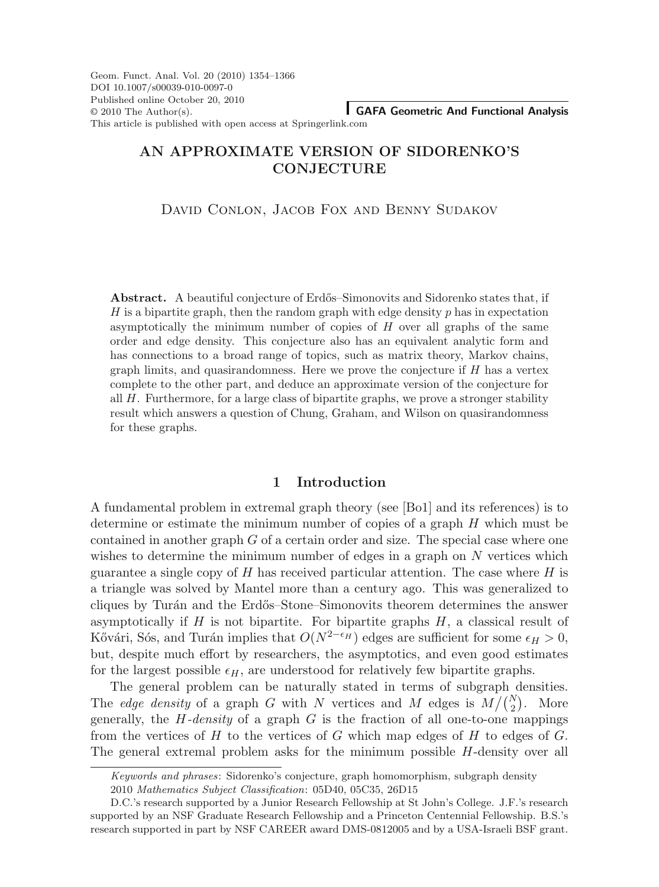Geom. Funct. Anal. Vol. 20 (2010) 1354–1366 DOI 10.1007/s00039-010-0097-0 Published online October 20, 2010  $© 2010$  The Author(s). This article is published with open access at Springerlink.com

**GAFA Geometric And Functional Analysis**

# **AN APPROXIMATE VERSION OF SIDORENKO'S CONJECTURE**

# David Conlon, Jacob Fox and Benny Sudakov

**Abstract.** A beautiful conjecture of Erdős–Simonovits and Sidorenko states that, if H is a bipartite graph, then the random graph with edge density  $p$  has in expectation asymptotically the minimum number of copies of  $H$  over all graphs of the same order and edge density. This conjecture also has an equivalent analytic form and has connections to a broad range of topics, such as matrix theory, Markov chains, graph limits, and quasirandomness. Here we prove the conjecture if  $H$  has a vertex complete to the other part, and deduce an approximate version of the conjecture for all H. Furthermore, for a large class of bipartite graphs, we prove a stronger stability result which answers a question of Chung, Graham, and Wilson on quasirandomness for these graphs.

### **1 Introduction**

A fundamental problem in extremal graph theory (see [Bo1] and its references) is to determine or estimate the minimum number of copies of a graph  $H$  which must be contained in another graph G of a certain order and size. The special case where one wishes to determine the minimum number of edges in a graph on N vertices which guarantee a single copy of  $H$  has received particular attention. The case where  $H$  is a triangle was solved by Mantel more than a century ago. This was generalized to cliques by Turán and the Erdős–Stone–Simonovits theorem determines the answer asymptotically if  $H$  is not bipartite. For bipartite graphs  $H$ , a classical result of Kővári, Sós, and Turán implies that  $O(N^{2-\epsilon_H})$  edges are sufficient for some  $\epsilon_H > 0$ , but, despite much effort by researchers, the asymptotics, and even good estimates for the largest possible  $\epsilon_H$ , are understood for relatively few bipartite graphs.

The general problem can be naturally stated in terms of subgraph densities. The *edge density* of a graph G with N vertices and M edges is  $M/(N/2)$ . More generally, the  $H$ -density of a graph  $G$  is the fraction of all one-to-one mappings from the vertices of  $H$  to the vertices of  $G$  which map edges of  $H$  to edges of  $G$ . The general extremal problem asks for the minimum possible H-density over all

Keywords and phrases: Sidorenko's conjecture, graph homomorphism, subgraph density

<sup>2010</sup> Mathematics Subject Classification: 05D40, 05C35, 26D15

D.C.'s research supported by a Junior Research Fellowship at St John's College. J.F.'s research supported by an NSF Graduate Research Fellowship and a Princeton Centennial Fellowship. B.S.'s research supported in part by NSF CAREER award DMS-0812005 and by a USA-Israeli BSF grant.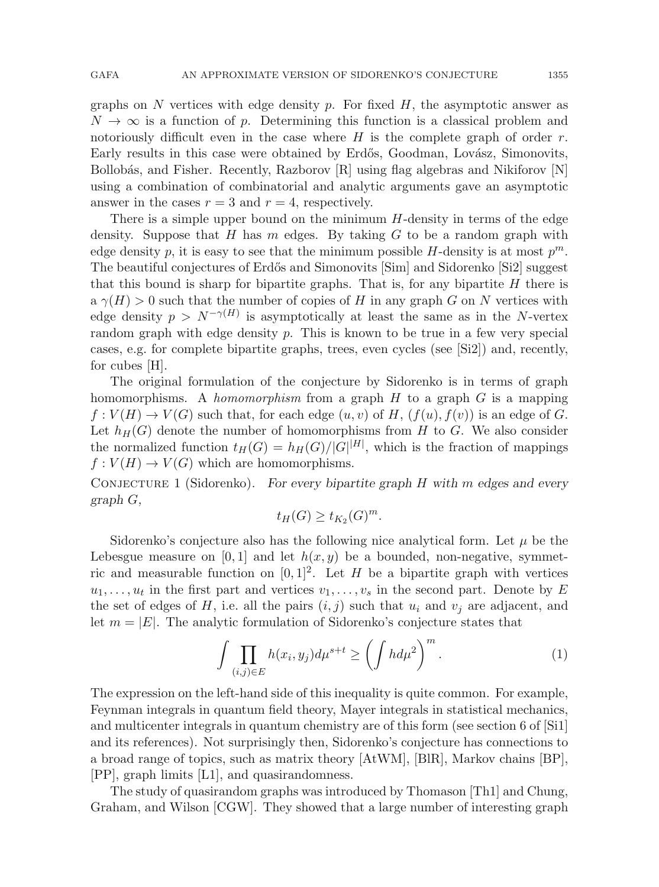graphs on N vertices with edge density p. For fixed  $H$ , the asymptotic answer as  $N \to \infty$  is a function of p. Determining this function is a classical problem and notoriously difficult even in the case where  $H$  is the complete graph of order  $r$ . Early results in this case were obtained by Erdős, Goodman, Lovász, Simonovits, Bollobás, and Fisher. Recently, Razborov [R] using flag algebras and Nikiforov [N] using a combination of combinatorial and analytic arguments gave an asymptotic answer in the cases  $r = 3$  and  $r = 4$ , respectively.

There is a simple upper bound on the minimum H-density in terms of the edge density. Suppose that  $H$  has  $m$  edges. By taking  $G$  to be a random graph with edge density p, it is easy to see that the minimum possible H-density is at most  $p^m$ . The beautiful conjectures of Erdős and Simonovits [Sim] and Sidorenko [Si2] suggest that this bound is sharp for bipartite graphs. That is, for any bipartite  $H$  there is  $a \gamma(H) > 0$  such that the number of copies of H in any graph G on N vertices with edge density  $p > N^{-\gamma(H)}$  is asymptotically at least the same as in the N-vertex random graph with edge density  $p$ . This is known to be true in a few very special cases, e.g. for complete bipartite graphs, trees, even cycles (see [Si2]) and, recently, for cubes [H].

The original formulation of the conjecture by Sidorenko is in terms of graph homomorphisms. A *homomorphism* from a graph  $H$  to a graph  $G$  is a mapping  $f: V(H) \to V(G)$  such that, for each edge  $(u, v)$  of H,  $(f(u), f(v))$  is an edge of G. Let  $h_H(G)$  denote the number of homomorphisms from H to G. We also consider the normalized function  $t_H(G) = h_H(G)/|G|^{|H|}$ , which is the fraction of mappings  $f: V(H) \to V(G)$  which are homomorphisms.

CONJECTURE 1 (Sidorenko). For every bipartite graph  $H$  with  $m$  edges and every graph G,

$$
t_H(G) \ge t_{K_2}(G)^m.
$$

Sidorenko's conjecture also has the following nice analytical form. Let  $\mu$  be the Lebesgue measure on [0, 1] and let  $h(x, y)$  be a bounded, non-negative, symmetric and measurable function on  $[0, 1]^2$ . Let H be a bipartite graph with vertices  $u_1, \ldots, u_t$  in the first part and vertices  $v_1, \ldots, v_s$  in the second part. Denote by E the set of edges of H, i.e. all the pairs  $(i, j)$  such that  $u_i$  and  $v_j$  are adjacent, and let  $m = |E|$ . The analytic formulation of Sidorenko's conjecture states that

$$
\int \prod_{(i,j)\in E} h(x_i, y_j) d\mu^{s+t} \ge \left(\int h d\mu^2\right)^m.
$$
 (1)

The expression on the left-hand side of this inequality is quite common. For example, Feynman integrals in quantum field theory, Mayer integrals in statistical mechanics, and multicenter integrals in quantum chemistry are of this form (see section 6 of [Si1] and its references). Not surprisingly then, Sidorenko's conjecture has connections to a broad range of topics, such as matrix theory [AtWM], [BlR], Markov chains [BP], [PP], graph limits [L1], and quasirandomness.

The study of quasirandom graphs was introduced by Thomason [Th1] and Chung, Graham, and Wilson [CGW]. They showed that a large number of interesting graph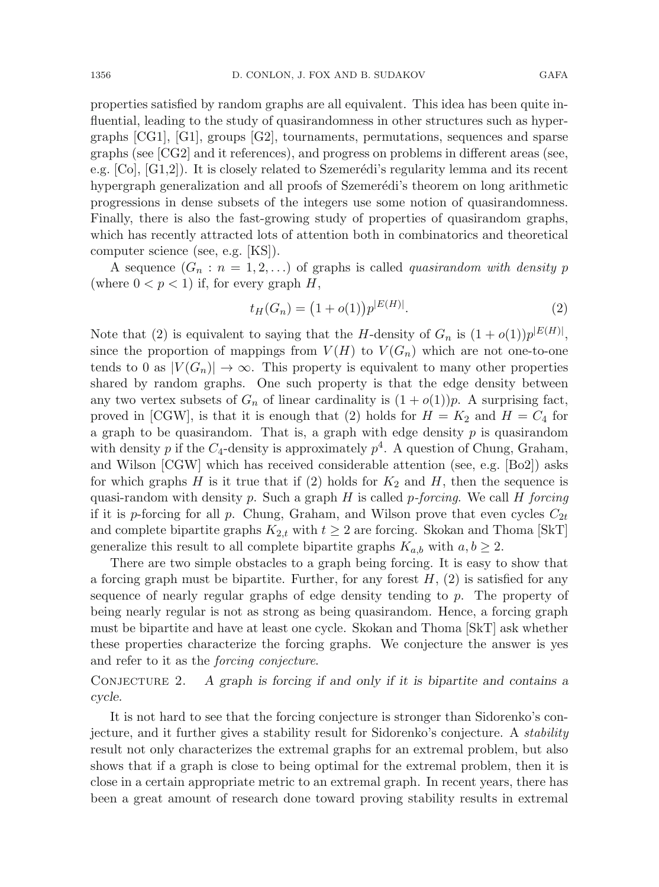properties satisfied by random graphs are all equivalent. This idea has been quite influential, leading to the study of quasirandomness in other structures such as hypergraphs [CG1], [G1], groups [G2], tournaments, permutations, sequences and sparse graphs (see [CG2] and it references), and progress on problems in different areas (see, e.g.  $[C_0], [G_1, G_2]$ . It is closely related to Szemerédi's regularity lemma and its recent hypergraph generalization and all proofs of Szemerédi's theorem on long arithmetic progressions in dense subsets of the integers use some notion of quasirandomness. Finally, there is also the fast-growing study of properties of quasirandom graphs, which has recently attracted lots of attention both in combinatorics and theoretical computer science (see, e.g. [KS]).

A sequence  $(G_n : n = 1, 2, ...)$  of graphs is called *quasirandom with density p* (where  $0 < p < 1$ ) if, for every graph H,

$$
t_H(G_n) = (1 + o(1))p^{|E(H)|}.
$$
\n(2)

Note that (2) is equivalent to saying that the H-density of  $G_n$  is  $(1+o(1))p^{|E(H)|}$ , since the proportion of mappings from  $V(H)$  to  $V(G_n)$  which are not one-to-one tends to 0 as  $|V(G_n)| \to \infty$ . This property is equivalent to many other properties shared by random graphs. One such property is that the edge density between any two vertex subsets of  $G_n$  of linear cardinality is  $(1 + o(1))p$ . A surprising fact, proved in [CGW], is that it is enough that (2) holds for  $H = K_2$  and  $H = C_4$  for a graph to be quasirandom. That is, a graph with edge density  $p$  is quasirandom with density p if the  $C_4$ -density is approximately  $p^4$ . A question of Chung, Graham, and Wilson [CGW] which has received considerable attention (see, e.g. [Bo2]) asks for which graphs  $H$  is it true that if (2) holds for  $K_2$  and  $H$ , then the sequence is quasi-random with density p. Such a graph  $H$  is called p-forcing. We call  $H$  forcing if it is p-forcing for all p. Chung, Graham, and Wilson prove that even cycles  $C_{2t}$ and complete bipartite graphs  $K_{2,t}$  with  $t \geq 2$  are forcing. Skokan and Thoma [SkT] generalize this result to all complete bipartite graphs  $K_{a,b}$  with  $a, b \geq 2$ .

There are two simple obstacles to a graph being forcing. It is easy to show that a forcing graph must be bipartite. Further, for any forest  $H$ , (2) is satisfied for any sequence of nearly regular graphs of edge density tending to p. The property of being nearly regular is not as strong as being quasirandom. Hence, a forcing graph must be bipartite and have at least one cycle. Skokan and Thoma [SkT] ask whether these properties characterize the forcing graphs. We conjecture the answer is yes and refer to it as the forcing conjecture.

CONJECTURE 2. A graph is forcing if and only if it is bipartite and contains a cycle.

It is not hard to see that the forcing conjecture is stronger than Sidorenko's conjecture, and it further gives a stability result for Sidorenko's conjecture. A stability result not only characterizes the extremal graphs for an extremal problem, but also shows that if a graph is close to being optimal for the extremal problem, then it is close in a certain appropriate metric to an extremal graph. In recent years, there has been a great amount of research done toward proving stability results in extremal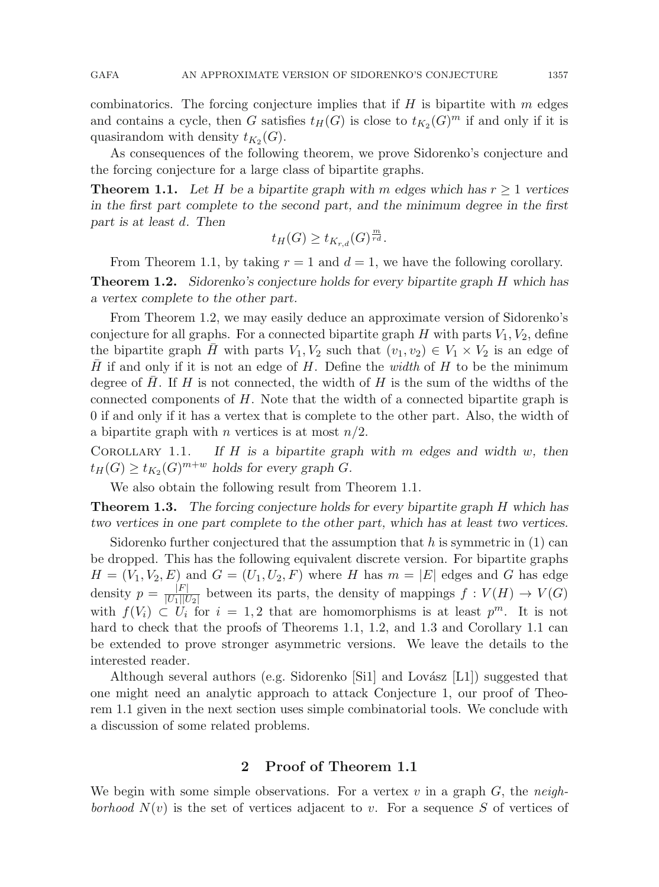combinatorics. The forcing conjecture implies that if  $H$  is bipartite with  $m$  edges and contains a cycle, then G satisfies  $t_H(G)$  is close to  $t_{K_2}(G)^m$  if and only if it is quasirandom with density  $t_{K_2}(G)$ .

As consequences of the following theorem, we prove Sidorenko's conjecture and the forcing conjecture for a large class of bipartite graphs.

**Theorem 1.1.** Let H be a bipartite graph with m edges which has  $r > 1$  vertices in the first part complete to the second part, and the minimum degree in the first part is at least d. Then

$$
t_H(G) \ge t_{K_{r,d}}(G)^{\frac{m}{rd}}.
$$

From Theorem 1.1, by taking  $r = 1$  and  $d = 1$ , we have the following corollary. **Theorem 1.2.** Sidorenko's conjecture holds for every bipartite graph H which has a vertex complete to the other part.

From Theorem 1.2, we may easily deduce an approximate version of Sidorenko's conjecture for all graphs. For a connected bipartite graph H with parts  $V_1, V_2$ , define the bipartite graph H with parts  $V_1, V_2$  such that  $(v_1, v_2) \in V_1 \times V_2$  is an edge of H if and only if it is not an edge of H. Define the width of H to be the minimum degree of H. If H is not connected, the width of H is the sum of the widths of the connected components of H. Note that the width of a connected bipartite graph is 0 if and only if it has a vertex that is complete to the other part. Also, the width of a bipartite graph with *n* vertices is at most  $n/2$ .

Corollary 1.1.If  $H$  is a bipartite graph with  $m$  edges and width  $w$ , then  $t_H(G) \ge t_{K_2}(G)^{m+w}$  holds for every graph G.

We also obtain the following result from Theorem 1.1.

**Theorem 1.3.** The forcing conjecture holds for every bipartite graph H which has two vertices in one part complete to the other part, which has at least two vertices.

Sidorenko further conjectured that the assumption that h is symmetric in  $(1)$  can be dropped. This has the following equivalent discrete version. For bipartite graphs  $H = (V_1, V_2, E)$  and  $G = (U_1, U_2, F)$  where H has  $m = |E|$  edges and G has edge density  $p = \frac{|F|}{|U_1||U_2|}$  between its parts, the density of mappings  $f : V(H) \to V(G)$ with  $f(V_i) \subset U_i$  for  $i = 1, 2$  that are homomorphisms is at least  $p^m$ . It is not hard to check that the proofs of Theorems 1.1, 1.2, and 1.3 and Corollary 1.1 can be extended to prove stronger asymmetric versions. We leave the details to the interested reader.

Although several authors (e.g. Sidorenko [Si1] and Lovász  $[L1]$ ) suggested that one might need an analytic approach to attack Conjecture 1, our proof of Theorem 1.1 given in the next section uses simple combinatorial tools. We conclude with a discussion of some related problems.

## **2 Proof of Theorem 1.1**

We begin with some simple observations. For a vertex v in a graph  $G$ , the neighborhood  $N(v)$  is the set of vertices adjacent to v. For a sequence S of vertices of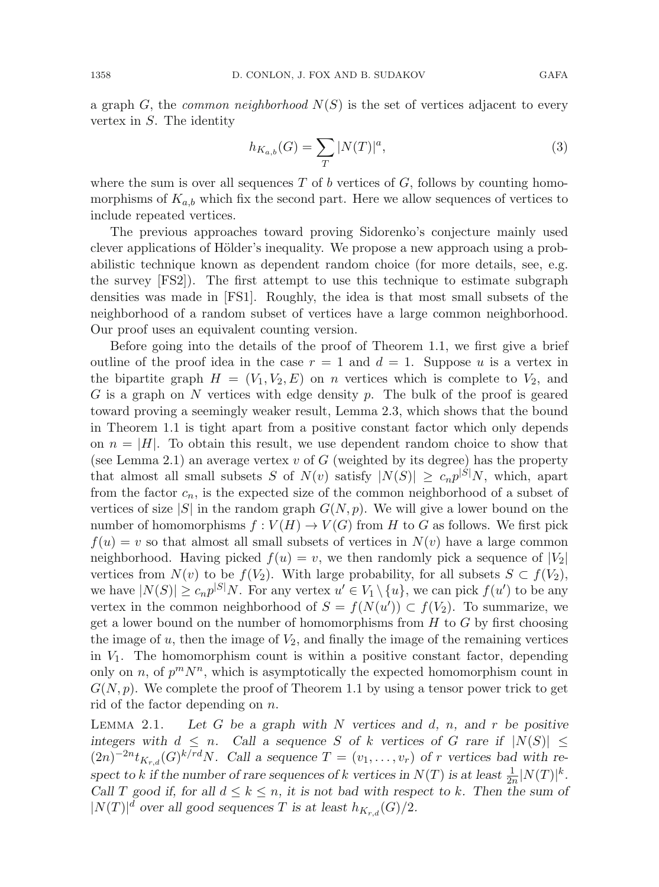a graph G, the *common neighborhood*  $N(S)$  is the set of vertices adjacent to every vertex in S. The identity

$$
h_{K_{a,b}}(G) = \sum_{T} |N(T)|^{a},\tag{3}
$$

where the sum is over all sequences  $T$  of b vertices of  $G$ , follows by counting homomorphisms of  $K_{a,b}$  which fix the second part. Here we allow sequences of vertices to include repeated vertices.

The previous approaches toward proving Sidorenko's conjecture mainly used clever applications of Hölder's inequality. We propose a new approach using a probabilistic technique known as dependent random choice (for more details, see, e.g. the survey [FS2]). The first attempt to use this technique to estimate subgraph densities was made in [FS1]. Roughly, the idea is that most small subsets of the neighborhood of a random subset of vertices have a large common neighborhood. Our proof uses an equivalent counting version.

Before going into the details of the proof of Theorem 1.1, we first give a brief outline of the proof idea in the case  $r = 1$  and  $d = 1$ . Suppose u is a vertex in the bipartite graph  $H = (V_1, V_2, E)$  on n vertices which is complete to  $V_2$ , and G is a graph on N vertices with edge density  $p$ . The bulk of the proof is geared toward proving a seemingly weaker result, Lemma 2.3, which shows that the bound in Theorem 1.1 is tight apart from a positive constant factor which only depends on  $n = |H|$ . To obtain this result, we use dependent random choice to show that (see Lemma 2.1) an average vertex v of G (weighted by its degree) has the property that almost all small subsets S of  $N(v)$  satisfy  $|N(S)| \geq c_n p^{|S|} N$ , which, apart from the factor  $c_n$ , is the expected size of the common neighborhood of a subset of vertices of size  $|S|$  in the random graph  $G(N, p)$ . We will give a lower bound on the number of homomorphisms  $f: V(H) \to V(G)$  from H to G as follows. We first pick  $f(u) = v$  so that almost all small subsets of vertices in  $N(v)$  have a large common neighborhood. Having picked  $f(u) = v$ , we then randomly pick a sequence of  $|V_2|$ vertices from  $N(v)$  to be  $f(V_2)$ . With large probability, for all subsets  $S \subset f(V_2)$ , we have  $|N(S)| \geq c_n p^{|S|} N$ . For any vertex  $u' \in V_1 \setminus \{u\}$ , we can pick  $f(u')$  to be any vertex in the common neighborhood of  $S = f(N(u')) \subset f(V_2)$ . To summarize, we get a lower bound on the number of homomorphisms from  $H$  to  $G$  by first choosing the image of  $u$ , then the image of  $V_2$ , and finally the image of the remaining vertices in  $V_1$ . The homomorphism count is within a positive constant factor, depending only on n, of  $p^mN^n$ , which is asymptotically the expected homomorphism count in  $G(N, p)$ . We complete the proof of Theorem 1.1 by using a tensor power trick to get rid of the factor depending on  $n$ .

Lemma 2.1.Let G be a graph with  $N$  vertices and  $d, n$ , and  $r$  be positive integers with  $d \leq n$ . Call a sequence S of k vertices of G rare if  $|N(S)| \leq$  $(2n)^{-2n}t_{K_{rd}}(G)^{k/rd}N$ . Call a sequence  $T = (v_1,\ldots,v_r)$  of r vertices bad with respect to k if the number of rare sequences of k vertices in  $N(T)$  is at least  $\frac{1}{2n}|N(T)|^k$ . Call T good if, for all  $d \leq k \leq n$ , it is not bad with respect to k. Then the sum of  $|N(T)|^d$  over all good sequences T is at least  $h_{K_{r,d}}(G)/2$ .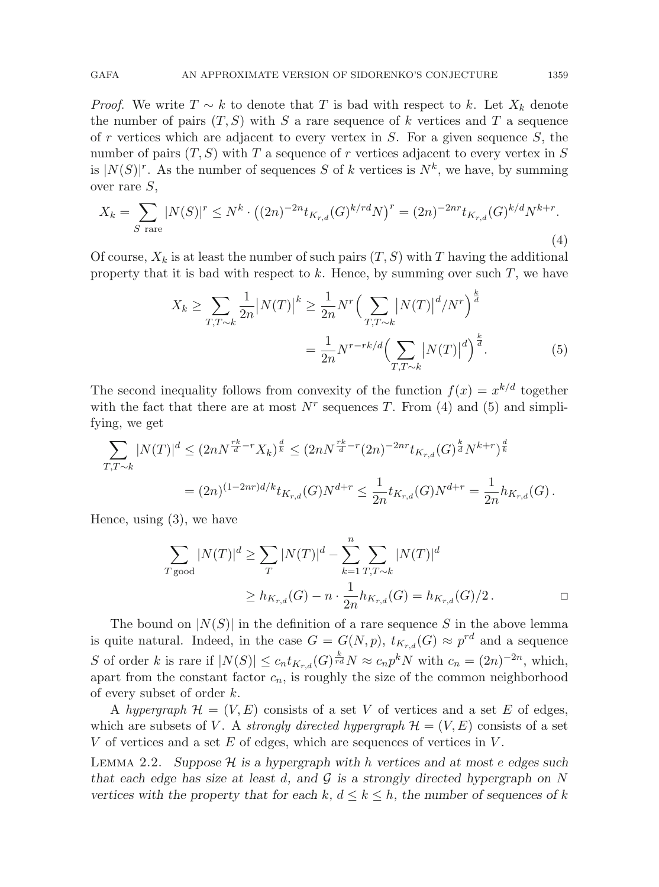*Proof.* We write  $T \sim k$  to denote that T is bad with respect to k. Let  $X_k$  denote the number of pairs  $(T, S)$  with S a rare sequence of k vertices and T a sequence of r vertices which are adjacent to every vertex in  $S$ . For a given sequence  $S$ , the number of pairs  $(T, S)$  with T a sequence of r vertices adjacent to every vertex in S is  $|N(S)|^r$ . As the number of sequences S of k vertices is  $N^k$ , we have, by summing over rare S,

$$
X_k = \sum_{S \text{ rare}} |N(S)|^r \le N^k \cdot \left( (2n)^{-2n} t_{K_{r,d}}(G)^{k/rd} N \right)^r = (2n)^{-2nr} t_{K_{r,d}}(G)^{k/d} N^{k+r}.
$$
\n(4)

Of course,  $X_k$  is at least the number of such pairs  $(T, S)$  with T having the additional property that it is bad with respect to  $k$ . Hence, by summing over such  $T$ , we have

$$
X_k \ge \sum_{T,T \sim k} \frac{1}{2n} |N(T)|^k \ge \frac{1}{2n} N^r \Big( \sum_{T,T \sim k} |N(T)|^d / N^r \Big)^{\frac{k}{d}} = \frac{1}{2n} N^{r-rk/d} \Big( \sum_{T,T \sim k} |N(T)|^d \Big)^{\frac{k}{d}}.
$$
(5)

The second inequality follows from convexity of the function  $f(x) = x^{k/d}$  together with the fact that there are at most  $N^r$  sequences T. From (4) and (5) and simplifying, we get

$$
\sum_{T,T \sim k} |N(T)|^d \le (2n)^{\frac{rk}{d}-r} X_k)^{\frac{d}{k}} \le (2n)^{\frac{rk}{d}-r} (2n)^{-2nr} t_{K_{r,d}}(G)^{\frac{k}{d}} N^{k+r})^{\frac{d}{k}}
$$
  
=  $(2n)^{(1-2nr)d/k} t_{K_{r,d}}(G) N^{d+r} \le \frac{1}{2n} t_{K_{r,d}}(G) N^{d+r} = \frac{1}{2n} h_{K_{r,d}}(G).$ 

Hence, using (3), we have

$$
\sum_{T \text{ good}} |N(T)|^d \ge \sum_T |N(T)|^d - \sum_{k=1}^n \sum_{T,T \sim k} |N(T)|^d
$$
  
 
$$
\ge h_{K_{r,d}}(G) - n \cdot \frac{1}{2n} h_{K_{r,d}}(G) = h_{K_{r,d}}(G)/2.
$$

The bound on  $|N(S)|$  in the definition of a rare sequence S in the above lemma is quite natural. Indeed, in the case  $G = G(N, p)$ ,  $t_{K_{r,d}}(G) \approx p^{rd}$  and a sequence S of order k is rare if  $|N(S)| \leq c_n t_{K_{r,d}}(G)^{\frac{k}{rd}} N \approx c_n p^k N$  with  $c_n = (2n)^{-2n}$ , which, apart from the constant factor  $c_n$ , is roughly the size of the common neighborhood of every subset of order k.

A hypergraph  $\mathcal{H} = (V, E)$  consists of a set V of vertices and a set E of edges, which are subsets of V. A strongly directed hypergraph  $\mathcal{H} = (V, E)$  consists of a set V of vertices and a set E of edges, which are sequences of vertices in  $V$ .

LEMMA 2.2. Suppose  $H$  is a hypergraph with h vertices and at most e edges such that each edge has size at least d, and  $\mathcal G$  is a strongly directed hypergraph on N vertices with the property that for each k,  $d \leq k \leq h$ , the number of sequences of k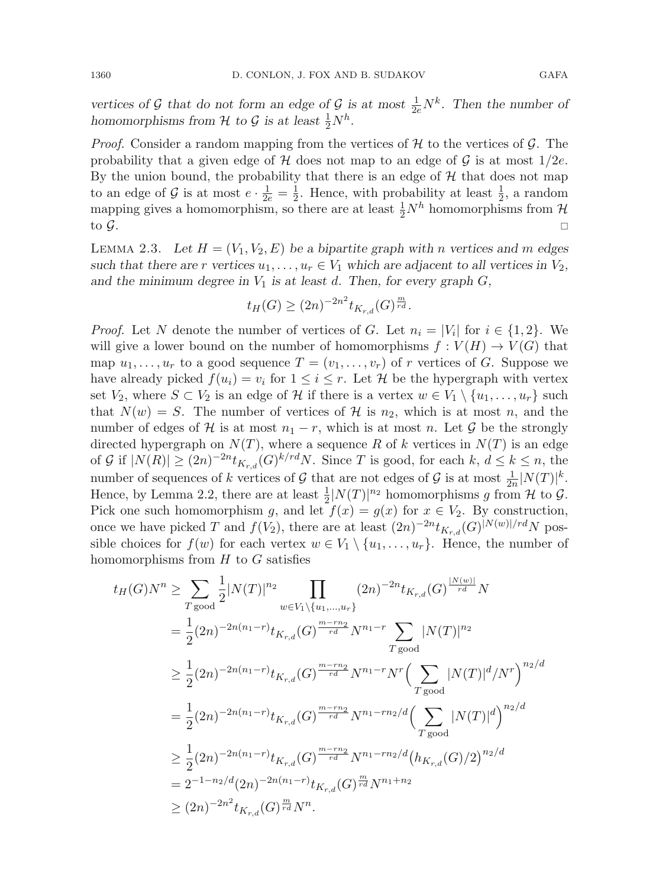vertices of G that do not form an edge of G is at most  $\frac{1}{2e}N^k$ . Then the number of homomorphisms from  $H$  to  $G$  is at least  $\frac{1}{2}N^h$ .

*Proof.* Consider a random mapping from the vertices of  $H$  to the vertices of  $G$ . The probability that a given edge of  $H$  does not map to an edge of  $G$  is at most  $1/2e$ . By the union bound, the probability that there is an edge of  $H$  that does not map to an edge of G is at most  $e \cdot \frac{1}{2e} = \frac{1}{2}$ . Hence, with probability at least  $\frac{1}{2}$ , a random mapping gives a homomorphism, so there are at least  $\frac{1}{2}N^h$  homomorphisms from  $\mathcal{H}$ to  $\mathcal{G}$ .

LEMMA 2.3. Let  $H = (V_1, V_2, E)$  be a bipartite graph with n vertices and m edges such that there are r vertices  $u_1, \ldots, u_r \in V_1$  which are adjacent to all vertices in  $V_2$ , and the minimum degree in  $V_1$  is at least d. Then, for every graph  $G$ ,

$$
t_H(G) \ge (2n)^{-2n^2} t_{K_{r,d}}(G)^{\frac{m}{rd}}.
$$

*Proof.* Let N denote the number of vertices of G. Let  $n_i = |V_i|$  for  $i \in \{1, 2\}$ . We will give a lower bound on the number of homomorphisms  $f: V(H) \to V(G)$  that map  $u_1, \ldots, u_r$  to a good sequence  $T = (v_1, \ldots, v_r)$  of r vertices of G. Suppose we have already picked  $f(u_i) = v_i$  for  $1 \leq i \leq r$ . Let H be the hypergraph with vertex set  $V_2$ , where  $S \subset V_2$  is an edge of H if there is a vertex  $w \in V_1 \setminus \{u_1, \ldots, u_r\}$  such that  $N(w) = S$ . The number of vertices of H is  $n_2$ , which is at most n, and the number of edges of H is at most  $n_1 - r$ , which is at most n. Let G be the strongly directed hypergraph on  $N(T)$ , where a sequence R of k vertices in  $N(T)$  is an edge of G if  $|N(R)| \geq (2n)^{-2n} t_{K_r,d}(G)^{k/r}$ . Since T is good, for each  $k, d \leq k \leq n$ , the number of sequences of k vertices of G that are not edges of G is at most  $\frac{1}{2n}|N(T)|^k$ . Hence, by Lemma 2.2, there are at least  $\frac{1}{2} |N(T)|^{n_2}$  homomorphisms g from H to G. Pick one such homomorphism g, and let  $f(x) = g(x)$  for  $x \in V_2$ . By construction, once we have picked T and  $f(V_2)$ , there are at least  $(2n)^{-2n}t_{K_r,d}(G)^{|N(w)|/rd}N$  possible choices for  $f(w)$  for each vertex  $w \in V_1 \setminus \{u_1,\ldots,u_r\}$ . Hence, the number of homomorphisms from  $H$  to  $G$  satisfies

$$
t_H(G)N^n \geq \sum_{T \text{ good}} \frac{1}{2} |N(T)|^{n_2} \prod_{w \in V_1 \setminus \{u_1, \dots, u_r\}} (2n)^{-2n} t_{K_{r,d}}(G)^{\frac{|N(w)|}{rd}} N
$$
  
\n
$$
= \frac{1}{2} (2n)^{-2n(n_1-r)} t_{K_{r,d}}(G)^{\frac{m-rn_2}{rd}} N^{n_1-r} \sum_{T \text{ good}} |N(T)|^{n_2}
$$
  
\n
$$
\geq \frac{1}{2} (2n)^{-2n(n_1-r)} t_{K_{r,d}}(G)^{\frac{m-rn_2}{rd}} N^{n_1-r} N^r \Big( \sum_{T \text{ good}} |N(T)|^d / N^r \Big)^{n_2/d}
$$
  
\n
$$
= \frac{1}{2} (2n)^{-2n(n_1-r)} t_{K_{r,d}}(G)^{\frac{m-rn_2}{rd}} N^{n_1-rn_2/d} \Big( \sum_{T \text{ good}} |N(T)|^d \Big)^{n_2/d}
$$
  
\n
$$
\geq \frac{1}{2} (2n)^{-2n(n_1-r)} t_{K_{r,d}}(G)^{\frac{m-rn_2}{rd}} N^{n_1-rn_2/d} \big( h_{K_{r,d}}(G)/2 \big)^{n_2/d}
$$
  
\n
$$
= 2^{-1-n_2/d} (2n)^{-2n(n_1-r)} t_{K_{r,d}}(G)^{\frac{m}{rd}} N^{n_1+n_2}
$$
  
\n
$$
\geq (2n)^{-2n^2} t_{K_{r,d}}(G)^{\frac{m}{rd}} N^n.
$$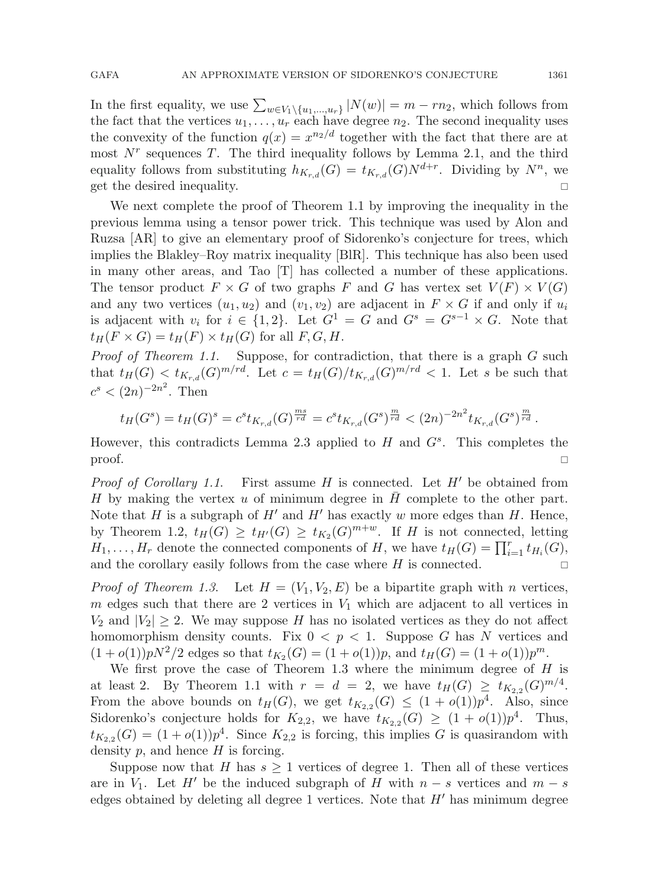In the first equality, we use  $\sum_{w \in V_1 \setminus \{u_1,...,u_r\}} |N(w)| = m - rn_2$ , which follows from the fact that the vertices  $u_1, \ldots, u_r$  each have degree  $n_2$ . The second inequality uses the convexity of the function  $q(x) = x^{n/2}$  together with the fact that there are at most  $N^r$  sequences T. The third inequality follows by Lemma 2.1, and the third equality follows from substituting  $h_{K_{rd}}(G) = t_{K_{rd}}(G)N^{d+r}$ . Dividing by  $N^n$ , we get the desired inequality.

We next complete the proof of Theorem 1.1 by improving the inequality in the previous lemma using a tensor power trick. This technique was used by Alon and Ruzsa [AR] to give an elementary proof of Sidorenko's conjecture for trees, which implies the Blakley–Roy matrix inequality [BlR]. This technique has also been used in many other areas, and Tao [T] has collected a number of these applications. The tensor product  $F \times G$  of two graphs F and G has vertex set  $V(F) \times V(G)$ and any two vertices  $(u_1, u_2)$  and  $(v_1, v_2)$  are adjacent in  $F \times G$  if and only if  $u_i$ is adjacent with  $v_i$  for  $i \in \{1,2\}$ . Let  $G^1 = G$  and  $G^s = G^{s-1} \times G$ . Note that  $t_H(F \times G) = t_H(F) \times t_H(G)$  for all  $F, G, H$ .

*Proof of Theorem 1.1.* Suppose, for contradiction, that there is a graph  $G$  such that  $t_H(G) < t_{K_{r,d}}(G)^{m/rd}$ . Let  $c = t_H(G)/t_{K_{r,d}}(G)^{m/rd} < 1$ . Let s be such that  $c^{s} < (2n)^{-2n^2}$ . Then

$$
t_H(G^s) = t_H(G)^s = c^s t_{K_{r,d}}(G)^{\frac{ms}{rd}} = c^s t_{K_{r,d}}(G^s)^{\frac{m}{rd}} < (2n)^{-2n^2} t_{K_{r,d}}(G^s)^{\frac{m}{rd}}.
$$

However, this contradicts Lemma 2.3 applied to  $H$  and  $G<sup>s</sup>$ . This completes the  $\Box$  proof.

*Proof of Corollary 1.1.* First assume H is connected. Let  $H'$  be obtained from H by making the vertex u of minimum degree in  $H$  complete to the other part. Note that H is a subgraph of H' and H' has exactly w more edges than H. Hence, by Theorem 1.2,  $t_H(G) \ge t_{H'}(G) \ge t_{K_2}(G)^{m+w}$ . If H is not connected, letting  $H_1,\ldots,H_r$  denote the connected components of H, we have  $t_H(G) = \prod_{i=1}^r t_{H_i}(G)$ , and the corollary easily follows from the case where  $H$  is connected.  $\Box$ 

*Proof of Theorem 1.3.* Let  $H = (V_1, V_2, E)$  be a bipartite graph with n vertices, m edges such that there are 2 vertices in  $V_1$  which are adjacent to all vertices in  $V_2$  and  $|V_2| \geq 2$ . We may suppose H has no isolated vertices as they do not affect homomorphism density counts. Fix  $0 < p < 1$ . Suppose G has N vertices and  $(1+o(1))pN^2/2$  edges so that  $t_{K_2}(G) = (1+o(1))p$ , and  $t_H(G) = (1+o(1))p^m$ .

We first prove the case of Theorem 1.3 where the minimum degree of  $H$  is at least 2. By Theorem 1.1 with  $r = d = 2$ , we have  $t_H(G) \geq t_{K_{2,2}}(G)^{m/4}$ . From the above bounds on  $t_H(G)$ , we get  $t_{K_{2,2}}(G) \leq (1+o(1))p^4$ . Also, since Sidorenko's conjecture holds for  $K_{2,2}$ , we have  $t_{K_{2,2}}(G) \geq (1+o(1))p^4$ . Thus,  $t_{K_{2,2}}(G) = (1+o(1))p<sup>4</sup>$ . Since  $K_{2,2}$  is forcing, this implies G is quasirandom with density  $p$ , and hence  $H$  is forcing.

Suppose now that H has  $s \geq 1$  vertices of degree 1. Then all of these vertices are in  $V_1$ . Let H' be the induced subgraph of H with  $n - s$  vertices and  $m - s$ edges obtained by deleting all degree 1 vertices. Note that  $H'$  has minimum degree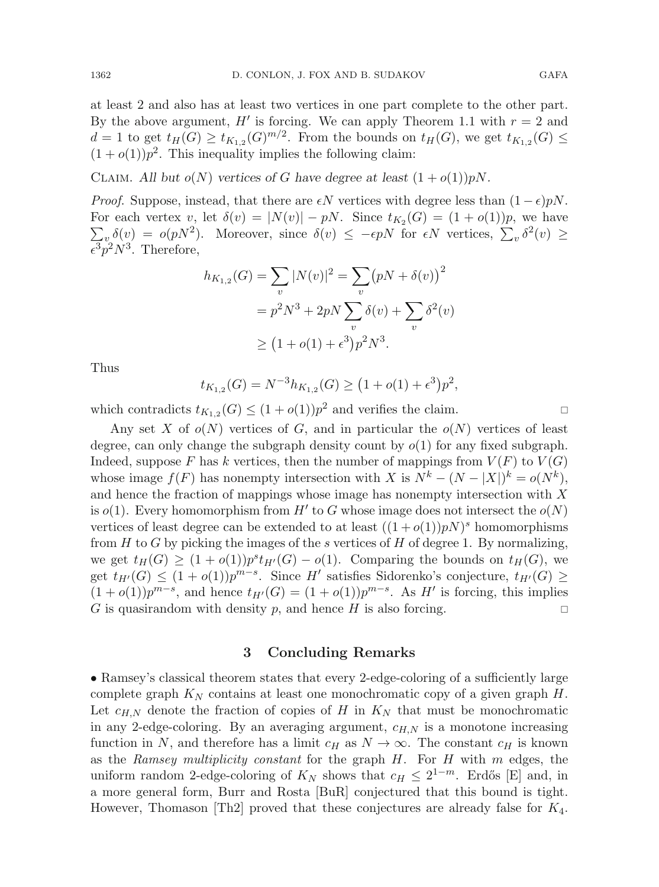at least 2 and also has at least two vertices in one part complete to the other part. By the above argument, H' is forcing. We can apply Theorem 1.1 with  $r = 2$  and  $d = 1$  to get  $t_H(G) \ge t_{K_{1,2}}(G)^{m/2}$ . From the bounds on  $t_H(G)$ , we get  $t_{K_{1,2}}(G) \le$  $(1+o(1))p<sup>2</sup>$ . This inequality implies the following claim:

CLAIM. All but  $o(N)$  vertices of G have degree at least  $(1+o(1))pN$ .

*Proof.* Suppose, instead, that there are  $\epsilon N$  vertices with degree less than  $(1 - \epsilon)pN$ . For each vertex v, let  $\delta(v) = |N(v)| - pN$ . Since  $t_{K_2}(G) = (1 + o(1))p$ , we have  $\sum_{v} \delta(v) = o(pN^2)$ . Moreover, since  $\delta(v) \leq -\epsilon pN$  for  $\epsilon N$  vertices,  $\sum_{v} \delta^2(v) \geq$ For each vertex v, let  $\delta(v) = |N(v)| - pN$ . Since  $t_{K_2}(G) = (1 + o(1))p$ , we have  $\epsilon^3 p^2 N^3$ . Therefore,

$$
h_{K_{1,2}}(G) = \sum_{v} |N(v)|^2 = \sum_{v} (pN + \delta(v))^2
$$
  
=  $p^2 N^3 + 2pN \sum_{v} \delta(v) + \sum_{v} \delta^2(v)$   
 $\ge (1 + o(1) + \epsilon^3) p^2 N^3.$ 

Thus

$$
t_{K_{1,2}}(G) = N^{-3}h_{K_{1,2}}(G) \ge (1 + o(1) + \epsilon^3)p^2,
$$

which contradicts  $t_{K_{1,2}}(G) \leq (1+o(1))p^2$  and verifies the claim.

Any set X of  $o(N)$  vertices of G, and in particular the  $o(N)$  vertices of least degree, can only change the subgraph density count by  $o(1)$  for any fixed subgraph. Indeed, suppose F has k vertices, then the number of mappings from  $V(F)$  to  $V(G)$ whose image  $f(F)$  has nonempty intersection with X is  $N^k - (N - |X|)^k = o(N^k)$ , and hence the fraction of mappings whose image has nonempty intersection with X is  $o(1)$ . Every homomorphism from H' to G whose image does not intersect the  $o(N)$ vertices of least degree can be extended to at least  $((1+o(1))pN)^s$  homomorphisms from  $H$  to  $G$  by picking the images of the s vertices of  $H$  of degree 1. By normalizing, we get  $t_H(G) \ge (1+o(1))p^st_{H'}(G) - o(1)$ . Comparing the bounds on  $t_H(G)$ , we get  $t_{H'}(G) \leq (1+o(1))p^{m-s}$ . Since H' satisfies Sidorenko's conjecture,  $t_{H'}(G) \geq$  $(1+o(1))p^{m-s}$ , and hence  $t_{H'}(G) = (1+o(1))p^{m-s}$ . As H' is forcing, this implies G is quasirandom with density p, and hence H is also forcing.

#### **3 Concluding Remarks**

• Ramsey's classical theorem states that every 2-edge-coloring of a sufficiently large complete graph  $K_N$  contains at least one monochromatic copy of a given graph  $H$ . Let  $c_{H,N}$  denote the fraction of copies of H in  $K_N$  that must be monochromatic in any 2-edge-coloring. By an averaging argument,  $c_{H,N}$  is a monotone increasing function in N, and therefore has a limit  $c_H$  as  $N \to \infty$ . The constant  $c_H$  is known as the Ramsey multiplicity constant for the graph  $H$ . For  $H$  with m edges, the uniform random 2-edge-coloring of  $K_N$  shows that  $c_H \leq 2^{1-m}$ . Erdős [E] and, in a more general form, Burr and Rosta [BuR] conjectured that this bound is tight. However, Thomason  $[Th2]$  proved that these conjectures are already false for  $K_4$ .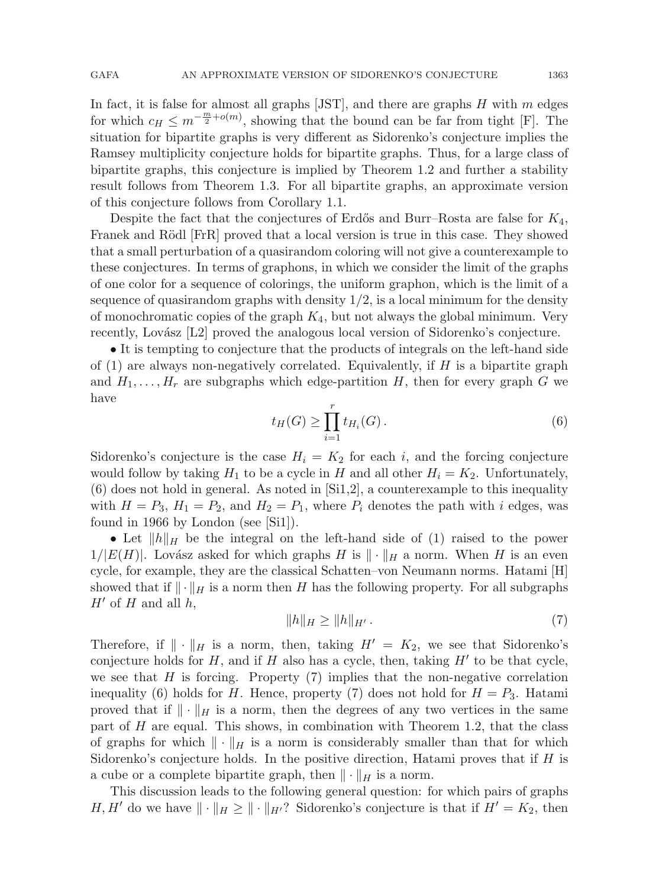In fact, it is false for almost all graphs  $[JST]$ , and there are graphs H with m edges for which  $c_H \leq m^{-\frac{m}{2} + o(m)}$ , showing that the bound can be far from tight [F]. The situation for bipartite graphs is very different as Sidorenko's conjecture implies the Ramsey multiplicity conjecture holds for bipartite graphs. Thus, for a large class of bipartite graphs, this conjecture is implied by Theorem 1.2 and further a stability result follows from Theorem 1.3. For all bipartite graphs, an approximate version of this conjecture follows from Corollary 1.1.

Despite the fact that the conjectures of Erdős and Burr–Rosta are false for  $K_4$ , Franek and Rödl [FrR] proved that a local version is true in this case. They showed that a small perturbation of a quasirandom coloring will not give a counterexample to these conjectures. In terms of graphons, in which we consider the limit of the graphs of one color for a sequence of colorings, the uniform graphon, which is the limit of a sequence of quasirandom graphs with density  $1/2$ , is a local minimum for the density of monochromatic copies of the graph  $K_4$ , but not always the global minimum. Very recently, Lovász [L2] proved the analogous local version of Sidorenko's conjecture.

• It is tempting to conjecture that the products of integrals on the left-hand side of  $(1)$  are always non-negatively correlated. Equivalently, if H is a bipartite graph and  $H_1, \ldots, H_r$  are subgraphs which edge-partition H, then for every graph G we have

$$
t_H(G) \ge \prod_{i=1}^r t_{H_i}(G). \tag{6}
$$

Sidorenko's conjecture is the case  $H_i = K_2$  for each i, and the forcing conjecture would follow by taking  $H_1$  to be a cycle in H and all other  $H_i = K_2$ . Unfortunately,  $(6)$  does not hold in general. As noted in  $[Si1,2]$ , a counterexample to this inequality with  $H = P_3$ ,  $H_1 = P_2$ , and  $H_2 = P_1$ , where  $P_i$  denotes the path with i edges, was found in 1966 by London (see [Si1]).

• Let  $||h||_H$  be the integral on the left-hand side of (1) raised to the power  $1/|E(H)|$ . Lovász asked for which graphs H is  $\|\cdot\|_H$  a norm. When H is an even cycle, for example, they are the classical Schatten–von Neumann norms. Hatami [H] showed that if  $\|\cdot\|_H$  is a norm then H has the following property. For all subgraphs  $H'$  of H and all h,

$$
\|h\|_H \ge \|h\|_{H'}.\tag{7}
$$

Therefore, if  $\|\cdot\|_H$  is a norm, then, taking  $H' = K_2$ , we see that Sidorenko's conjecture holds for  $H$ , and if  $H$  also has a cycle, then, taking  $H'$  to be that cycle, we see that  $H$  is forcing. Property  $(7)$  implies that the non-negative correlation inequality (6) holds for H. Hence, property (7) does not hold for  $H = P_3$ . Hatami proved that if  $\|\cdot\|_H$  is a norm, then the degrees of any two vertices in the same part of  $H$  are equal. This shows, in combination with Theorem 1.2, that the class of graphs for which  $\|\cdot\|_H$  is a norm is considerably smaller than that for which Sidorenko's conjecture holds. In the positive direction, Hatami proves that if  $H$  is a cube or a complete bipartite graph, then  $\|\cdot\|_H$  is a norm.

This discussion leads to the following general question: for which pairs of graphs  $H, H'$  do we have  $\|\cdot\|_H \geq \|\cdot\|_{H'}$ ? Sidorenko's conjecture is that if  $H' = K_2$ , then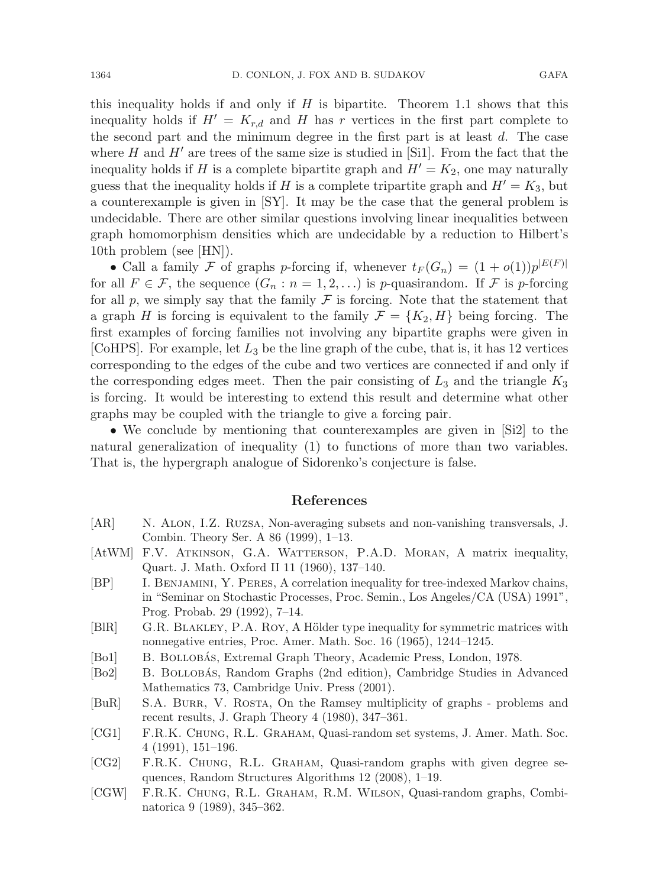this inequality holds if and only if  $H$  is bipartite. Theorem 1.1 shows that this inequality holds if  $H' = K_{r,d}$  and H has r vertices in the first part complete to the second part and the minimum degree in the first part is at least  $d$ . The case where H and  $H'$  are trees of the same size is studied in [Si1]. From the fact that the inequality holds if H is a complete bipartite graph and  $H' = K_2$ , one may naturally guess that the inequality holds if H is a complete tripartite graph and  $H' = K_3$ , but a counterexample is given in [SY]. It may be the case that the general problem is undecidable. There are other similar questions involving linear inequalities between graph homomorphism densities which are undecidable by a reduction to Hilbert's 10th problem (see [HN]).

• Call a family F of graphs p-forcing if, whenever  $t_F(G_n) = (1 + o(1))p^{|E(F)|}$ for all  $F \in \mathcal{F}$ , the sequence  $(G_n : n = 1, 2, ...)$  is p-quasirandom. If  $\mathcal F$  is p-forcing for all p, we simply say that the family  $\mathcal F$  is forcing. Note that the statement that a graph H is forcing is equivalent to the family  $\mathcal{F} = \{K_2, H\}$  being forcing. The first examples of forcing families not involving any bipartite graphs were given in [CoHPS]. For example, let  $L_3$  be the line graph of the cube, that is, it has 12 vertices corresponding to the edges of the cube and two vertices are connected if and only if the corresponding edges meet. Then the pair consisting of  $L_3$  and the triangle  $K_3$ is forcing. It would be interesting to extend this result and determine what other graphs may be coupled with the triangle to give a forcing pair.

• We conclude by mentioning that counterexamples are given in [Si2] to the natural generalization of inequality (1) to functions of more than two variables. That is, the hypergraph analogue of Sidorenko's conjecture is false.

#### **References**

- [AR] N. Alon, I.Z. Ruzsa, Non-averaging subsets and non-vanishing transversals, J. Combin. Theory Ser. A 86 (1999), 1–13.
- [AtWM] F.V. ATKINSON, G.A. WATTERSON, P.A.D. MORAN, A matrix inequality, Quart. J. Math. Oxford II 11 (1960), 137–140.
- [BP] I. Benjamini, Y. Peres, A correlation inequality for tree-indexed Markov chains, in "Seminar on Stochastic Processes, Proc. Semin., Los Angeles/CA (USA) 1991", Prog. Probab. 29 (1992), 7–14.
- [BlR] G.R. BLAKLEY, P.A. ROY, A Hölder type inequality for symmetric matrices with nonnegative entries, Proc. Amer. Math. Soc. 16 (1965), 1244–1245.
- [Bo1] B. BOLLOBÁS, Extremal Graph Theory, Academic Press, London, 1978.
- [Bo2] B. BOLLOBAS, Random Graphs (2nd edition), Cambridge Studies in Advanced Mathematics 73, Cambridge Univ. Press (2001).
- [BuR] S.A. Burr, V. Rosta, On the Ramsey multiplicity of graphs problems and recent results, J. Graph Theory 4 (1980), 347–361.
- [CG1] F.R.K. Chung, R.L. Graham, Quasi-random set systems, J. Amer. Math. Soc. 4 (1991), 151–196.
- [CG2] F.R.K. Chung, R.L. Graham, Quasi-random graphs with given degree sequences, Random Structures Algorithms 12 (2008), 1–19.
- [CGW] F.R.K. Chung, R.L. Graham, R.M. Wilson, Quasi-random graphs, Combinatorica 9 (1989), 345–362.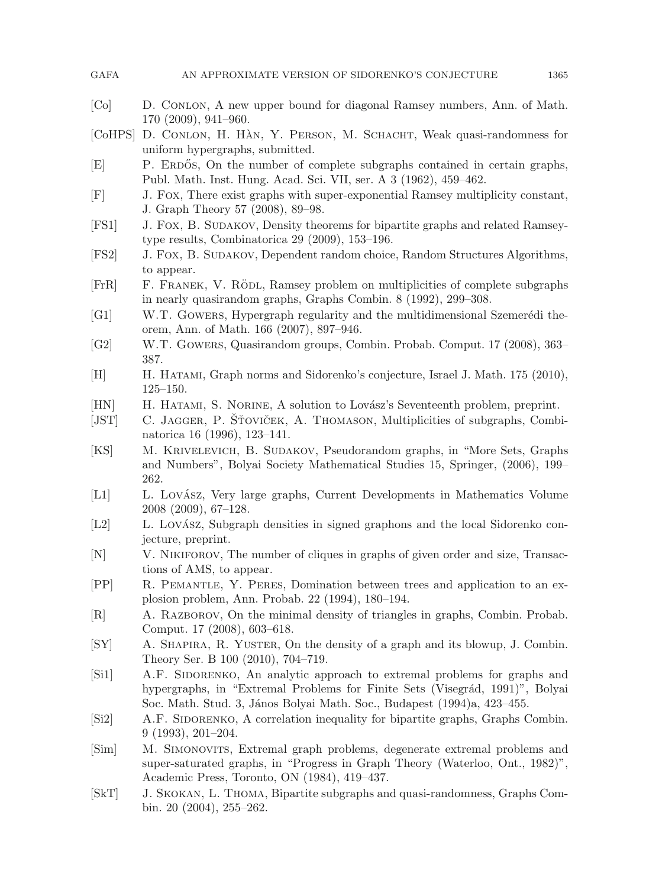| <b>GAFA</b><br>AN APPROXIMATE VERSION OF SIDORENKO'S CONJECTURE | 1365 |
|-----------------------------------------------------------------|------|
|-----------------------------------------------------------------|------|

- [Co] D. Conlon, A new upper bound for diagonal Ramsey numbers, Ann. of Math. 170 (2009), 941–960.
- [CoHPS] D. CONLON, H. HAN, Y. PERSON, M. SCHACHT, Weak quasi-randomness for uniform hypergraphs, submitted.
- [E] P. ERDOS, On the number of complete subgraphs contained in certain graphs, Publ. Math. Inst. Hung. Acad. Sci. VII, ser. A 3 (1962), 459–462.
- [F] J. Fox, There exist graphs with super-exponential Ramsey multiplicity constant, J. Graph Theory 57 (2008), 89–98.
- [FS1] J. Fox, B. Sudakov, Density theorems for bipartite graphs and related Ramseytype results, Combinatorica 29 (2009), 153–196.
- [FS2] J. Fox, B. Sudakov, Dependent random choice, Random Structures Algorithms, to appear.
- [FrR] F. FRANEK, V. RÖDL, Ramsey problem on multiplicities of complete subgraphs in nearly quasirandom graphs, Graphs Combin. 8 (1992), 299–308.
- [G1] W.T. GOWERS, Hypergraph regularity and the multidimensional Szemerédi theorem, Ann. of Math. 166 (2007), 897–946.
- [G2] W.T. Gowers, Quasirandom groups, Combin. Probab. Comput. 17 (2008), 363– 387.
- [H] H. Hatami, Graph norms and Sidorenko's conjecture, Israel J. Math. 175 (2010), 125–150.
- [HN] H. HATAMI, S. NORINE, A solution to Lovász's Seventeenth problem, preprint.
- [JST] C. JAGGER, P. ŠŤOVIČEK, A. THOMASON, Multiplicities of subgraphs, Combinatorica 16 (1996), 123–141.
- [KS] M. Krivelevich, B. Sudakov, Pseudorandom graphs, in "More Sets, Graphs and Numbers", Bolyai Society Mathematical Studies 15, Springer, (2006), 199– 262.
- [L1] L. Lovász, Very large graphs, Current Developments in Mathematics Volume 2008 (2009), 67–128.
- [L2] L. Lovász, Subgraph densities in signed graphons and the local Sidorenko conjecture, preprint.
- [N] V. Nikiforov, The number of cliques in graphs of given order and size, Transactions of AMS, to appear.
- [PP] R. Pemantle, Y. Peres, Domination between trees and application to an explosion problem, Ann. Probab. 22 (1994), 180–194.
- [R] A. Razborov, On the minimal density of triangles in graphs, Combin. Probab. Comput. 17 (2008), 603–618.
- [SY] A. Shapira, R. Yuster, On the density of a graph and its blowup, J. Combin. Theory Ser. B 100 (2010), 704–719.
- [Si1] A.F. SIDORENKO, An analytic approach to extremal problems for graphs and hypergraphs, in "Extremal Problems for Finite Sets (Visegrád, 1991)", Bolyai Soc. Math. Stud. 3, János Bolyai Math. Soc., Budapest (1994)a, 423-455.
- [Si2] A.F. SIDORENKO, A correlation inequality for bipartite graphs, Graphs Combin. 9 (1993), 201–204.
- [Sim] M. Simonovits, Extremal graph problems, degenerate extremal problems and super-saturated graphs, in "Progress in Graph Theory (Waterloo, Ont., 1982)", Academic Press, Toronto, ON (1984), 419–437.
- [SkT] J. Skokan, L. Thoma, Bipartite subgraphs and quasi-randomness, Graphs Combin. 20 (2004), 255–262.